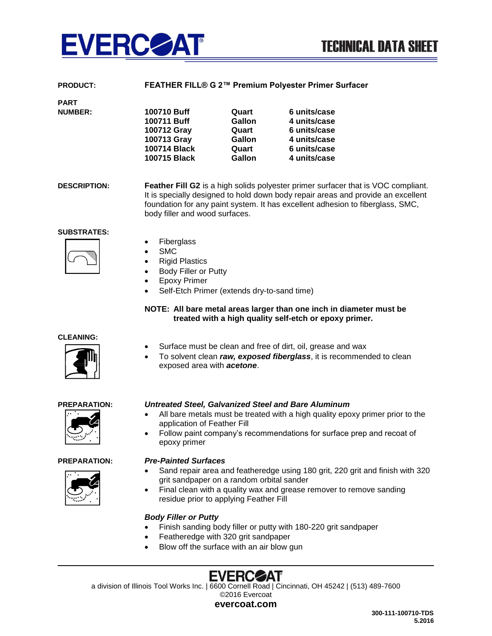

| <b>PRODUCT:</b> | FEATHER FILL® G 2™ Premium Polyester Primer Surfacer |
|-----------------|------------------------------------------------------|
|                 |                                                      |

| Quart         | 6 units/case |
|---------------|--------------|
| Gallon        | 4 units/case |
| Quart         | 6 units/case |
| <b>Gallon</b> | 4 units/case |
| Quart         | 6 units/case |
| Gallon        | 4 units/case |
|               |              |

**DESCRIPTION: Feather Fill G2** is a high solids polyester primer surfacer that is VOC compliant. It is specially designed to hold down body repair areas and provide an excellent foundation for any paint system. It has excellent adhesion to fiberglass, SMC, body filler and wood surfaces.

# **SUBSTRATES:**

**PART NUMBER:** 



- Fiberglass
- SMC
- Rigid Plastics
- Body Filler or Putty
- Epoxy Primer
- Self-Etch Primer (extends dry-to-sand time)

# **NOTE: All bare metal areas larger than one inch in diameter must be treated with a high quality self-etch or epoxy primer.**

# **CLEANING:**



- Surface must be clean and free of dirt, oil, grease and wax
- To solvent clean *raw, exposed fiberglass*, it is recommended to clean exposed area with *acetone*.

# **PREPARATION:** *Untreated Steel, Galvanized Steel and Bare Aluminum*





# **PREPARATION:** *Pre-Painted Surfaces*

epoxy primer

application of Feather Fill

 Sand repair area and featheredge using 180 grit, 220 grit and finish with 320 grit sandpaper on a random orbital sander

All bare metals must be treated with a high quality epoxy primer prior to the

Follow paint company's recommendations for surface prep and recoat of

 Final clean with a quality wax and grease remover to remove sanding residue prior to applying Feather Fill

# *Body Filler or Putty*

- Finish sanding body filler or putty with 180-220 grit sandpaper
- Featheredge with 320 grit sandpaper
- Blow off the surface with an air blow gun

# **EVERCZAI**'

a division of Illinois Tool Works Inc. | 6600 Cornell Road | Cincinnati, OH 45242 | (513) 489-7600 ©2016 Evercoat

**evercoat.com**